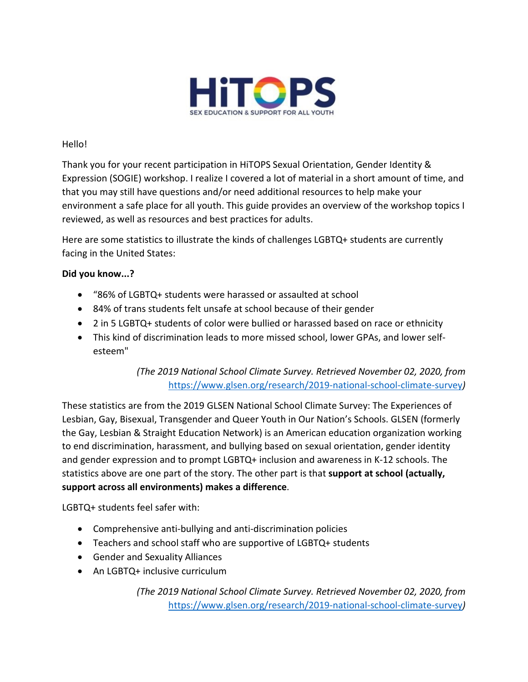

## Hello!

Thank you for your recent participation in HiTOPS Sexual Orientation, Gender Identity & Expression (SOGIE) workshop. I realize I covered a lot of material in a short amount of time, and that you may still have questions and/or need additional resources to help make your environment a safe place for all youth. This guide provides an overview of the workshop topics I reviewed, as well as resources and best practices for adults.

Here are some statistics to illustrate the kinds of challenges LGBTQ+ students are currently facing in the United States:

## **Did you know...?**

- "86% of LGBTQ+ students were harassed or assaulted at school
- 84% of trans students felt unsafe at school because of their gender
- 2 in 5 LGBTQ+ students of color were bullied or harassed based on race or ethnicity
- This kind of discrimination leads to more missed school, lower GPAs, and lower selfesteem"

*(The 2019 National School Climate Survey. Retrieved November 02, 2020, from*  <https://www.glsen.org/research/2019-national-school-climate-survey>*)*

These statistics are from the 2019 GLSEN National School Climate Survey: The Experiences of Lesbian, Gay, Bisexual, Transgender and Queer Youth in Our Nation's Schools. GLSEN (formerly the Gay, Lesbian & Straight Education Network) is an American education organization working to end discrimination, harassment, and bullying based on sexual orientation, gender identity and gender expression and to prompt LGBTQ+ inclusion and awareness in K-12 schools. The statistics above are one part of the story. The other part is that **support at school (actually, support across all environments) makes a difference**.

LGBTQ+ students feel safer with:

- Comprehensive anti-bullying and anti-discrimination policies
- Teachers and school staff who are supportive of LGBTQ+ students
- Gender and Sexuality Alliances
- An LGBTQ+ inclusive curriculum

*(The 2019 National School Climate Survey. Retrieved November 02, 2020, from*  <https://www.glsen.org/research/2019-national-school-climate-survey>*)*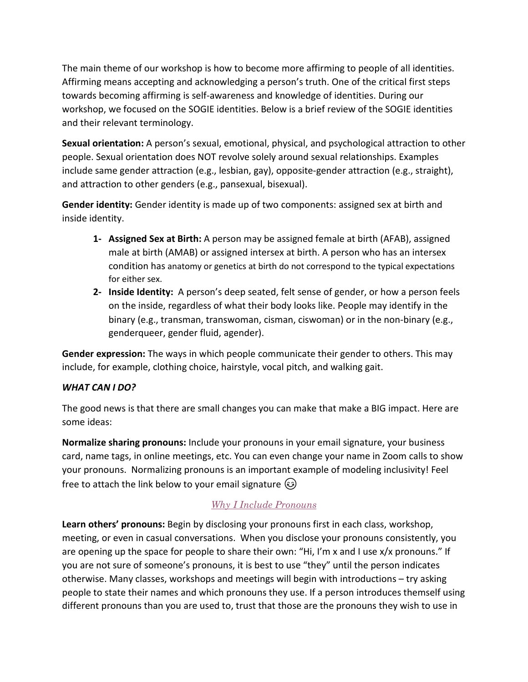The main theme of our workshop is how to become more affirming to people of all identities. Affirming means accepting and acknowledging a person's truth. One of the critical first steps towards becoming affirming is self-awareness and knowledge of identities. During our workshop, we focused on the SOGIE identities. Below is a brief review of the SOGIE identities and their relevant terminology.

**Sexual orientation:** A person's sexual, emotional, physical, and psychological attraction to other people. Sexual orientation does NOT revolve solely around sexual relationships. Examples include same gender attraction (e.g., lesbian, gay), opposite-gender attraction (e.g., straight), and attraction to other genders (e.g., pansexual, bisexual).

**Gender identity:** Gender identity is made up of two components: assigned sex at birth and inside identity.

- **1- Assigned Sex at Birth:** A person may be assigned female at birth (AFAB), assigned male at birth (AMAB) or assigned intersex at birth. A person who has an intersex condition has anatomy or genetics at birth do not correspond to the typical expectations for either sex.
- **2- Inside Identity:** A person's deep seated, felt sense of gender, or how a person feels on the inside, regardless of what their body looks like. People may identify in the binary (e.g., transman, transwoman, cisman, ciswoman) or in the non-binary (e.g., genderqueer, gender fluid, agender).

**Gender expression:** The ways in which people communicate their gender to others. This may include, for example, clothing choice, hairstyle, vocal pitch, and walking gait.

# *WHAT CAN I DO?*

The good news is that there are small changes you can make that make a BIG impact. Here are some ideas:

**Normalize sharing pronouns:** Include your pronouns in your email signature, your business card, name tags, in online meetings, etc. You can even change your name in Zoom calls to show your pronouns. Normalizing pronouns is an important example of modeling inclusivity! Feel free to attach the link below to your email signature  $\circled{e}$ 

# *[Why I Include Pronouns](https://medium.com/gender-inclusivit/why-i-put-pronouns-on-my-email-signature-and-linkedin-profile-and-you-should-too-d3dc942c8743)*

**Learn others' pronouns:** Begin by disclosing your pronouns first in each class, workshop, meeting, or even in casual conversations. When you disclose your pronouns consistently, you are opening up the space for people to share their own: "Hi, I'm x and I use x/x pronouns." If you are not sure of someone's pronouns, it is best to use "they" until the person indicates otherwise. Many classes, workshops and meetings will begin with introductions – try asking people to state their names and which pronouns they use. If a person introduces themself using different pronouns than you are used to, trust that those are the pronouns they wish to use in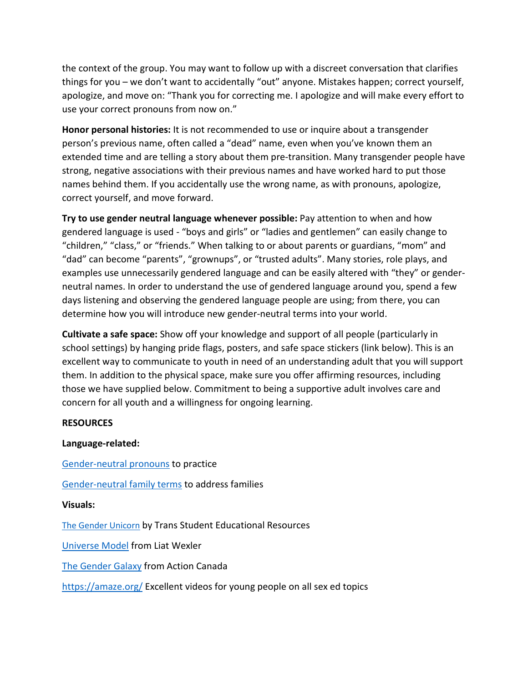the context of the group. You may want to follow up with a discreet conversation that clarifies things for you – we don't want to accidentally "out" anyone. Mistakes happen; correct yourself, apologize, and move on: "Thank you for correcting me. I apologize and will make every effort to use your correct pronouns from now on."

**Honor personal histories:** It is not recommended to use or inquire about a transgender person's previous name, often called a "dead" name, even when you've known them an extended time and are telling a story about them pre-transition. Many transgender people have strong, negative associations with their previous names and have worked hard to put those names behind them. If you accidentally use the wrong name, as with pronouns, apologize, correct yourself, and move forward.

**Try to use gender neutral language whenever possible:** Pay attention to when and how gendered language is used - "boys and girls" or "ladies and gentlemen" can easily change to "children," "class," or "friends." When talking to or about parents or guardians, "mom" and "dad" can become "parents", "grownups", or "trusted adults". Many stories, role plays, and examples use unnecessarily gendered language and can be easily altered with "they" or genderneutral names. In order to understand the use of gendered language around you, spend a few days listening and observing the gendered language people are using; from there, you can determine how you will introduce new gender-neutral terms into your world.

**Cultivate a safe space:** Show off your knowledge and support of all people (particularly in school settings) by hanging pride flags, posters, and safe space stickers (link below). This is an excellent way to communicate to youth in need of an understanding adult that you will support them. In addition to the physical space, make sure you offer affirming resources, including those we have supplied below. Commitment to being a supportive adult involves care and concern for all youth and a willingness for ongoing learning.

### **RESOURCES**

# **Language-related:**

[Gender-neutral pronouns](https://uwm.edu/lgbtrc/support/gender-pronouns/) to practice

[Gender-neutral family terms](https://queerlittlefamily.co.uk/gender-neutral-terms-titles-and-pronouns/) to address families

### **Visuals:**

[The Gender Unicorn](https://transstudent.org/gender/) by Trans Student Educational Resources

[Universe Model](http://www.preventconnect.org/wp-content/uploads/2016/02/Universe-Model-of-Gender-2015.pdf) from Liat Wexler

[The Gender Galaxy](https://www.actioncanadashr.org/beyond-basics-sneak-peek-gender-galaxy) from Action Canada

<https://amaze.org/> Excellent videos for young people on all sex ed topics